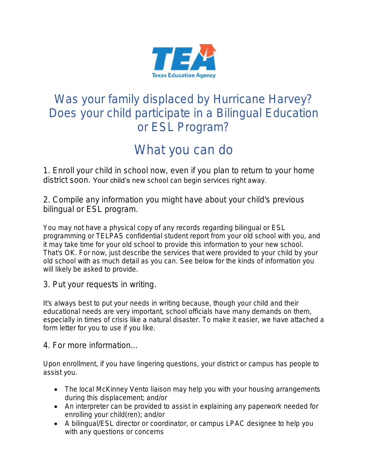

## Was your family displaced by Hurricane Harvey? Does your child participate in a Bilingual Education or ESL Program?

# What you can do

1. Enroll your child in school now, even if you plan to return to your home district soon. Your child's new school can begin services right away.

2. Compile any information you might have about your child's previous bilingual or ESL program.

You may not have a physical copy of any records regarding bilingual or ESL programming or TELPAS confidential student report from your old school with you, and it may take time for your old school to provide this information to your new school. That's OK. For now, just describe the services that were provided to your child by your old school with as much detail as you can. See below for the kinds of information you will likely be asked to provide.

3. Put your requests in writing.

It's always best to put your needs in writing because, though your child and their educational needs are very important, school officials have many demands on them, especially in times of crisis like a natural disaster. To make it easier, we have attached a form letter for you to use if you like.

4. For more information...

Upon enrollment, if you have lingering questions, your district or campus has people to assist you.

- The local McKinney Vento liaison may help you with your housing arrangements during this displacement; and/or
- An interpreter can be provided to assist in explaining any paperwork needed for enrolling your child(ren); and/or
- A bilingual/ESL director or coordinator, or campus LPAC designee to help you with any questions or concerns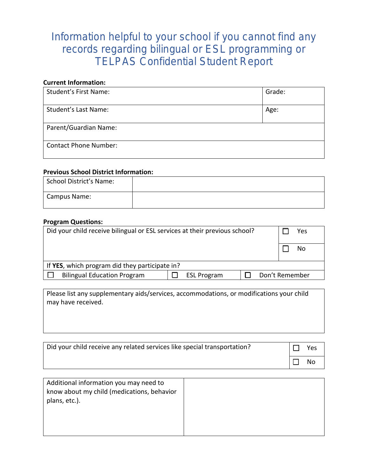### Information helpful to your school if you cannot find any records regarding bilingual or ESL programming or TELPAS Confidential Student Report

#### **Current Information:**

| <b>Student's First Name:</b> | Grade: |
|------------------------------|--------|
| Student's Last Name:         | Age:   |
|                              |        |
| Parent/Guardian Name:        |        |
| <b>Contact Phone Number:</b> |        |

#### **Previous School District Information:**

| School District's Name: |  |
|-------------------------|--|
| <b>Campus Name:</b>     |  |

#### **Program Questions:**

| Did your child receive bilingual or ESL services at their previous school? |                    |  | Yes            |  |  |
|----------------------------------------------------------------------------|--------------------|--|----------------|--|--|
|                                                                            |                    |  | No             |  |  |
| If YES, which program did they participate in?                             |                    |  |                |  |  |
| <b>Bilingual Education Program</b>                                         | <b>ESL Program</b> |  | Don't Remember |  |  |
|                                                                            |                    |  |                |  |  |

Please list any supplementary aids/services, accommodations, or modifications your child may have received.

| Did your child receive any related services like special transportation? | Yes       |
|--------------------------------------------------------------------------|-----------|
|                                                                          | <b>No</b> |

| Additional information you may need to<br>know about my child (medications, behavior<br>plans, etc.). |  |
|-------------------------------------------------------------------------------------------------------|--|
|                                                                                                       |  |